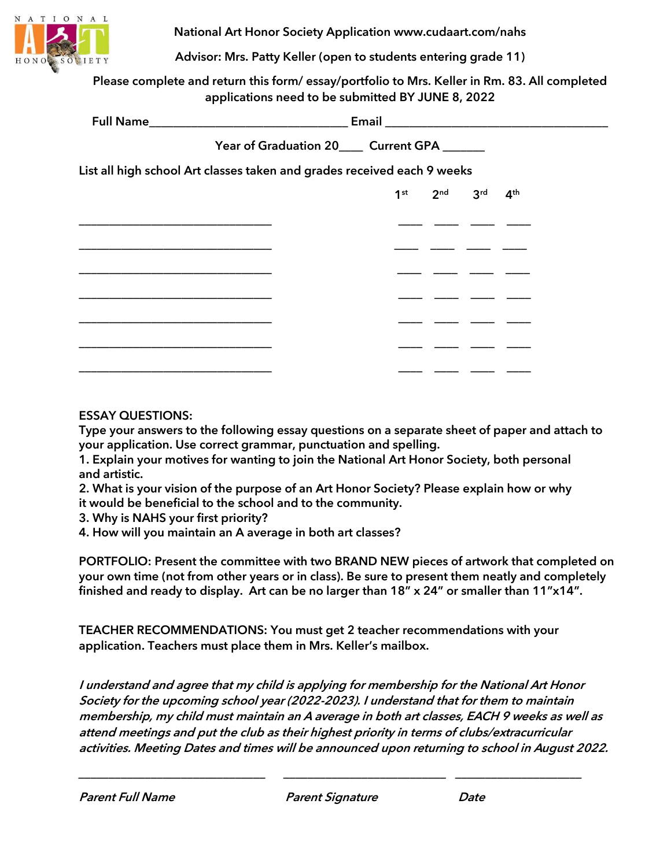

National Art Honor Society Application www.cudaart.com/nahs

Advisor: Mrs. Patty Keller (open to students entering grade 11)

Please complete and return this form/ essay/portfolio to Mrs. Keller in Rm. 83. All completed applications need to be submitted BY JUNE 8, 2022

|                                                                         | Year of Graduation 20____ Current GPA ______ |  |                                     |  |  |
|-------------------------------------------------------------------------|----------------------------------------------|--|-------------------------------------|--|--|
| List all high school Art classes taken and grades received each 9 weeks |                                              |  |                                     |  |  |
|                                                                         |                                              |  | $1^{st}$ $2^{nd}$ $3^{rd}$ $4^{th}$ |  |  |
|                                                                         |                                              |  |                                     |  |  |
|                                                                         |                                              |  |                                     |  |  |
|                                                                         |                                              |  |                                     |  |  |
|                                                                         |                                              |  |                                     |  |  |
|                                                                         |                                              |  |                                     |  |  |
|                                                                         |                                              |  |                                     |  |  |
|                                                                         |                                              |  |                                     |  |  |

## ESSAY QUESTIONS:

Type your answers to the following essay questions on a separate sheet of paper and attach to your application. Use correct grammar, punctuation and spelling.

1. Explain your motives for wanting to join the National Art Honor Society, both personal and artistic.

2. What is your vision of the purpose of an Art Honor Society? Please explain how or why it would be beneficial to the school and to the community.

3. Why is NAHS your first priority?

4. How will you maintain an A average in both art classes?

PORTFOLIO: Present the committee with two BRAND NEW pieces of artwork that completed on your own time (not from other years or in class). Be sure to present them neatly and completely finished and ready to display. Art can be no larger than 18" x 24" or smaller than 11"x14".

TEACHER RECOMMENDATIONS: You must get 2 teacher recommendations with your application. Teachers must place them in Mrs. Keller's mailbox.

I understand and agree that my child is applying for membership for the National Art Honor Society for the upcoming school year (2022-2023). I understand that for them to maintain membership, my child must maintain an A average in both art classes, EACH 9 weeks as well as attend meetings and put the club as their highest priority in terms of clubs/extracurricular activities. Meeting Dates and times will be announced upon returning to school in August 2022.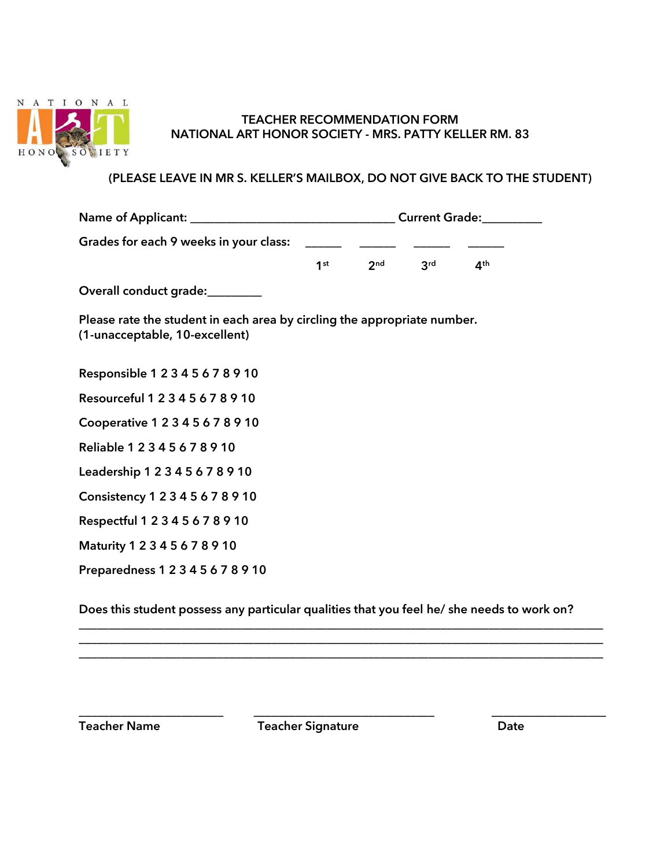

## TEACHER RECOMMENDATION FORM NATIONAL ART HONOR SOCIETY - MRS. PATTY KELLER RM. 83

## (PLEASE LEAVE IN MR S. KELLER'S MAILBOX, DO NOT GIVE BACK TO THE STUDENT)

| Grades for each 9 weeks in your class:                                                                     |  |  |                                   |                 |  |  |
|------------------------------------------------------------------------------------------------------------|--|--|-----------------------------------|-----------------|--|--|
|                                                                                                            |  |  | $1^{st}$ 2 <sup>nd</sup> $3^{rd}$ | $4^{\text{th}}$ |  |  |
| Overall conduct grade:________                                                                             |  |  |                                   |                 |  |  |
| Please rate the student in each area by circling the appropriate number.<br>(1-unacceptable, 10-excellent) |  |  |                                   |                 |  |  |
| Responsible 1 2 3 4 5 6 7 8 9 10                                                                           |  |  |                                   |                 |  |  |
| Resourceful 1 2 3 4 5 6 7 8 9 10                                                                           |  |  |                                   |                 |  |  |
| Cooperative 1 2 3 4 5 6 7 8 9 10                                                                           |  |  |                                   |                 |  |  |
| Reliable 1 2 3 4 5 6 7 8 9 10                                                                              |  |  |                                   |                 |  |  |
| Leadership 1 2 3 4 5 6 7 8 9 10                                                                            |  |  |                                   |                 |  |  |
| Consistency 1 2 3 4 5 6 7 8 9 10                                                                           |  |  |                                   |                 |  |  |
| Respectful 1 2 3 4 5 6 7 8 9 10                                                                            |  |  |                                   |                 |  |  |
| Maturity 1 2 3 4 5 6 7 8 9 10                                                                              |  |  |                                   |                 |  |  |
| Preparedness 1 2 3 4 5 6 7 8 9 10                                                                          |  |  |                                   |                 |  |  |
|                                                                                                            |  |  |                                   |                 |  |  |

Does this student possess any particular qualities that you feel he/ she needs to work on?

\_\_\_\_\_\_\_\_\_\_\_\_\_\_\_\_\_\_\_\_\_\_\_\_\_\_\_\_\_\_\_\_\_\_\_\_\_\_\_\_\_\_\_\_\_\_\_\_\_\_\_\_\_\_\_\_\_\_\_\_\_\_\_\_\_\_\_\_\_\_\_\_\_\_\_\_\_\_\_\_\_\_\_\_\_\_\_ \_\_\_\_\_\_\_\_\_\_\_\_\_\_\_\_\_\_\_\_\_\_\_\_\_\_\_\_\_\_\_\_\_\_\_\_\_\_\_\_\_\_\_\_\_\_\_\_\_\_\_\_\_\_\_\_\_\_\_\_\_\_\_\_\_\_\_\_\_\_\_\_\_\_\_\_\_\_\_\_\_\_\_\_\_\_\_ \_\_\_\_\_\_\_\_\_\_\_\_\_\_\_\_\_\_\_\_\_\_\_\_\_\_\_\_\_\_\_\_\_\_\_\_\_\_\_\_\_\_\_\_\_\_\_\_\_\_\_\_\_\_\_\_\_\_\_\_\_\_\_\_\_\_\_\_\_\_\_\_\_\_\_\_\_\_\_\_\_\_\_\_\_\_\_

\_\_\_\_\_\_\_\_\_\_\_\_\_\_\_\_\_\_\_\_\_\_\_\_ \_\_\_\_\_\_\_\_\_\_\_\_\_\_\_\_\_\_\_\_\_\_\_\_\_\_\_\_\_\_ \_\_\_\_\_\_\_\_\_\_\_\_\_\_\_\_\_\_\_

Teacher Name Teacher Signature Date